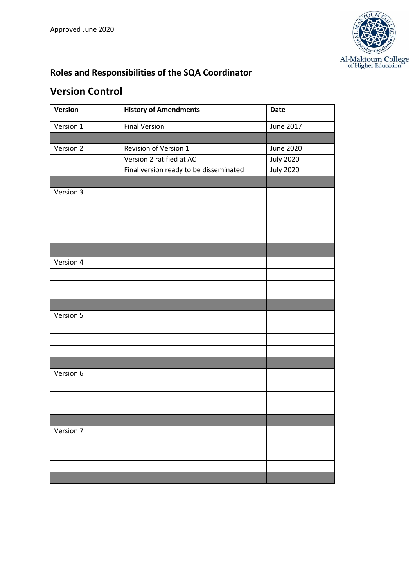

## **Roles and Responsibilities of the SQA Coordinator**

## **Version Control**

| Version   | <b>History of Amendments</b>           | <b>Date</b>      |
|-----------|----------------------------------------|------------------|
| Version 1 | <b>Final Version</b>                   | June 2017        |
|           |                                        |                  |
| Version 2 | Revision of Version 1                  | <b>June 2020</b> |
|           | Version 2 ratified at AC               | <b>July 2020</b> |
|           | Final version ready to be disseminated | <b>July 2020</b> |
|           |                                        |                  |
| Version 3 |                                        |                  |
|           |                                        |                  |
|           |                                        |                  |
|           |                                        |                  |
|           |                                        |                  |
|           |                                        |                  |
| Version 4 |                                        |                  |
|           |                                        |                  |
|           |                                        |                  |
|           |                                        |                  |
|           |                                        |                  |
| Version 5 |                                        |                  |
|           |                                        |                  |
|           |                                        |                  |
|           |                                        |                  |
|           |                                        |                  |
| Version 6 |                                        |                  |
|           |                                        |                  |
|           |                                        |                  |
|           |                                        |                  |
|           |                                        |                  |
| Version 7 |                                        |                  |
|           |                                        |                  |
|           |                                        |                  |
|           |                                        |                  |
|           |                                        |                  |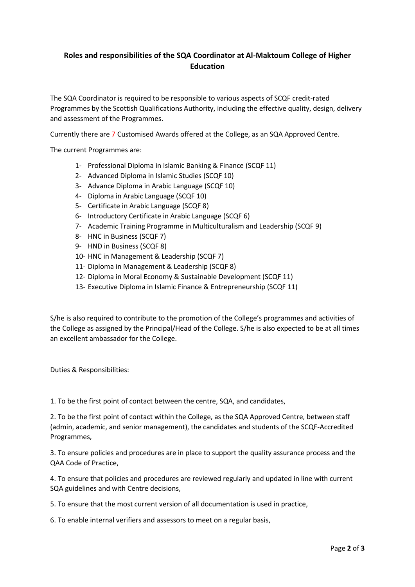## **Roles and responsibilities of the SQA Coordinator at Al-Maktoum College of Higher Education**

The SQA Coordinator is required to be responsible to various aspects of SCQF credit-rated Programmes by the Scottish Qualifications Authority, including the effective quality, design, delivery and assessment of the Programmes.

Currently there are 7 Customised Awards offered at the College, as an SQA Approved Centre.

The current Programmes are:

- 1- Professional Diploma in Islamic Banking & Finance (SCQF 11)
- 2- Advanced Diploma in Islamic Studies (SCQF 10)
- 3- Advance Diploma in Arabic Language (SCQF 10)
- 4- Diploma in Arabic Language (SCQF 10)
- 5- Certificate in Arabic Language (SCQF 8)
- 6- Introductory Certificate in Arabic Language (SCQF 6)
- 7- Academic Training Programme in Multiculturalism and Leadership (SCQF 9)
- 8- HNC in Business (SCQF 7)
- 9- HND in Business (SCQF 8)
- 10- HNC in Management & Leadership (SCQF 7)
- 11- Diploma in Management & Leadership (SCQF 8)
- 12- Diploma in Moral Economy & Sustainable Development (SCQF 11)
- 13- Executive Diploma in Islamic Finance & Entrepreneurship (SCQF 11)

S/he is also required to contribute to the promotion of the College's programmes and activities of the College as assigned by the Principal/Head of the College. S/he is also expected to be at all times an excellent ambassador for the College.

Duties & Responsibilities:

1. To be the first point of contact between the centre, SQA, and candidates,

2. To be the first point of contact within the College, as the SQA Approved Centre, between staff (admin, academic, and senior management), the candidates and students of the SCQF-Accredited Programmes,

3. To ensure policies and procedures are in place to support the quality assurance process and the QAA Code of Practice,

4. To ensure that policies and procedures are reviewed regularly and updated in line with current SQA guidelines and with Centre decisions,

5. To ensure that the most current version of all documentation is used in practice,

6. To enable internal verifiers and assessors to meet on a regular basis,